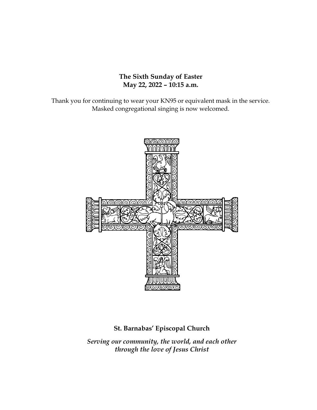#### **The Sixth Sunday of Easter May 22, 2022 – 10:15 a.m.**

Thank you for continuing to wear your KN95 or equivalent mask in the service. Masked congregational singing is now welcomed.



# **St. Barnabas' Episcopal Church**

*Serving our community, the world, and each other through the love of Jesus Christ*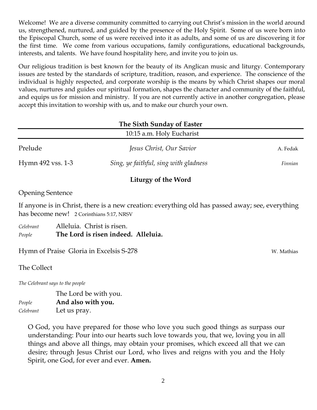Welcome! We are a diverse community committed to carrying out Christ's mission in the world around us, strengthened, nurtured, and guided by the presence of the Holy Spirit. Some of us were born into the Episcopal Church, some of us were received into it as adults, and some of us are discovering it for the first time. We come from various occupations, family configurations, educational backgrounds, interests, and talents. We have found hospitality here, and invite you to join us.

Our religious tradition is best known for the beauty of its Anglican music and liturgy. Contemporary issues are tested by the standards of scripture, tradition, reason, and experience. The conscience of the individual is highly respected, and corporate worship is the means by which Christ shapes our moral values, nurtures and guides our spiritual formation, shapes the character and community of the faithful, and equips us for mission and ministry. If you are not currently active in another congregation, please accept this invitation to worship with us, and to make our church your own.

| The Sixth Sunday of Easter |                                       |          |  |  |
|----------------------------|---------------------------------------|----------|--|--|
| 10:15 a.m. Holy Eucharist  |                                       |          |  |  |
| Prelude                    | Jesus Christ, Our Savior              | A. Fedak |  |  |
| Hymn 492 vss. 1-3          | Sing, ye faithful, sing with gladness | Finnian  |  |  |
|                            | Liturgy of the Word                   |          |  |  |

#### Opening Sentence

If anyone is in Christ, there is a new creation: everything old has passed away; see, everything has become new! 2 Corinthians 5:17, NRSV

*Celebrant* Alleluia. Christ is risen. *People* **The Lord is risen indeed. Alleluia.**

Hymn of Praise Gloria in Excelsis S-278 W. Mathias

The Collect

*The Celebrant says to the people*

The Lord be with you. *People* **And also with you.** *Celebrant* Let us pray.

O God, you have prepared for those who love you such good things as surpass our understanding: Pour into our hearts such love towards you, that we, loving you in all things and above all things, may obtain your promises, which exceed all that we can desire; through Jesus Christ our Lord, who lives and reigns with you and the Holy Spirit, one God, for ever and ever. **Amen.**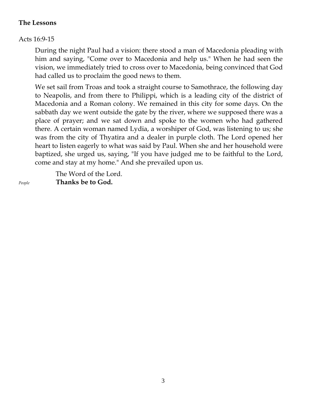#### **The Lessons**

# Acts 16:9-15

During the night Paul had a vision: there stood a man of Macedonia pleading with him and saying, "Come over to Macedonia and help us." When he had seen the vision, we immediately tried to cross over to Macedonia, being convinced that God had called us to proclaim the good news to them.

We set sail from Troas and took a straight course to Samothrace, the following day to Neapolis, and from there to Philippi, which is a leading city of the district of Macedonia and a Roman colony. We remained in this city for some days. On the sabbath day we went outside the gate by the river, where we supposed there was a place of prayer; and we sat down and spoke to the women who had gathered there. A certain woman named Lydia, a worshiper of God, was listening to us; she was from the city of Thyatira and a dealer in purple cloth. The Lord opened her heart to listen eagerly to what was said by Paul. When she and her household were baptized, she urged us, saying, "If you have judged me to be faithful to the Lord, come and stay at my home." And she prevailed upon us.

 The Word of the Lord. *People* **Thanks be to God.**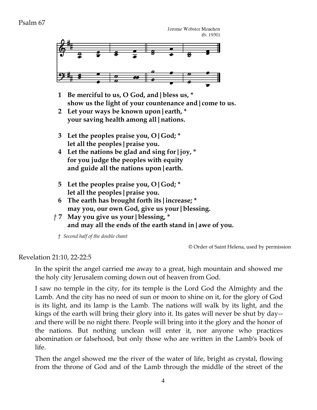Jerome Webster Meachen  $(b. 1930)$ 



- **1 Be merciful to us, O God, and|bless us, \* show us the light of your countenance and|come to us.**
- **2 Let your ways be known upon|earth, \* your saving health among all|nations.**
- **3 Let the peoples praise you, O|God; \* let all the peoples|praise you.**
- **4 Let the nations be glad and sing for|joy, \* for you judge the peoples with equity and guide all the nations upon|earth.**
- **5 Let the peoples praise you, O|God; \* let all the peoples|praise you.**
- **6 The earth has brought forth its|increase; \* may you, our own God, give us your|blessing.**
- *†* **7 May you give us your|blessing, \* and may all the ends of the earth stand in|awe of you.**

*† Second half of the double chant*

© Order of Saint Helena, used by permission

Revelation 21:10, 22-22:5

In the spirit the angel carried me away to a great, high mountain and showed me the holy city Jerusalem coming down out of heaven from God.

I saw no temple in the city, for its temple is the Lord God the Almighty and the Lamb. And the city has no need of sun or moon to shine on it, for the glory of God is its light, and its lamp is the Lamb. The nations will walk by its light, and the kings of the earth will bring their glory into it. Its gates will never be shut by day- and there will be no night there. People will bring into it the glory and the honor of the nations. But nothing unclean will enter it, nor anyone who practices abomination or falsehood, but only those who are written in the Lamb's book of life.

Then the angel showed me the river of the water of life, bright as crystal, flowing from the throne of God and of the Lamb through the middle of the street of the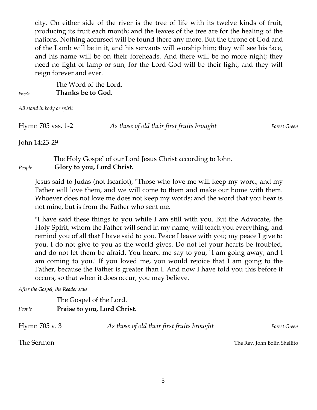city. On either side of the river is the tree of life with its twelve kinds of fruit, producing its fruit each month; and the leaves of the tree are for the healing of the nations. Nothing accursed will be found there any more. But the throne of God and of the Lamb will be in it, and his servants will worship him; they will see his face, and his name will be on their foreheads. And there will be no more night; they need no light of lamp or sun, for the Lord God will be their light, and they will reign forever and ever.

 The Word of the Lord. *People* **Thanks be to God.**

*All stand in body or spirit*

Hymn 705 vss. 1-2 *As those of old their first fruits brought Forest Green*

John 14:23-29

# The Holy Gospel of our Lord Jesus Christ according to John. *People* **Glory to you, Lord Christ.**

Jesus said to Judas (not Iscariot), "Those who love me will keep my word, and my Father will love them, and we will come to them and make our home with them. Whoever does not love me does not keep my words; and the word that you hear is not mine, but is from the Father who sent me.

"I have said these things to you while I am still with you. But the Advocate, the Holy Spirit, whom the Father will send in my name, will teach you everything, and remind you of all that I have said to you. Peace I leave with you; my peace I give to you. I do not give to you as the world gives. Do not let your hearts be troubled, and do not let them be afraid. You heard me say to you, `I am going away, and I am coming to you.' If you loved me, you would rejoice that I am going to the Father, because the Father is greater than I. And now I have told you this before it occurs, so that when it does occur, you may believe."

*After the Gospel, the Reader says*

The Gospel of the Lord. *People* **Praise to you, Lord Christ.** Hymn 705 v. 3 *As those of old their first fruits brought Forest Green* The Sermon The Rev. John Bolin Shellito

5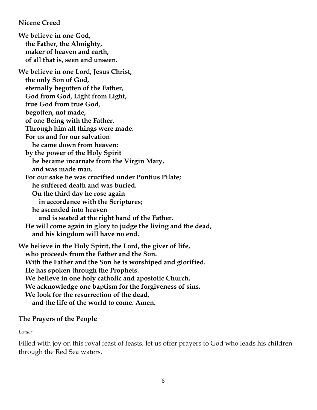**Nicene Creed**

**We believe in one God, the Father, the Almighty, maker of heaven and earth, of all that is, seen and unseen. We believe in one Lord, Jesus Christ, the only Son of God, eternally begotten of the Father, God from God, Light from Light, true God from true God, begotten, not made, of one Being with the Father. Through him all things were made. For us and for our salvation he came down from heaven: by the power of the Holy Spirit he became incarnate from the Virgin Mary, and was made man. For our sake he was crucified under Pontius Pilate; he suffered death and was buried. On the third day he rose again in accordance with the Scriptures; he ascended into heaven and is seated at the right hand of the Father. He will come again in glory to judge the living and the dead, and his kingdom will have no end. We believe in the Holy Spirit, the Lord, the giver of life, who proceeds from the Father and the Son. With the Father and the Son he is worshiped and glorified. He has spoken through the Prophets. We believe in one holy catholic and apostolic Church. We acknowledge one baptism for the forgiveness of sins. We look for the resurrection of the dead,**

 **and the life of the world to come. Amen.**

#### **The Prayers of the People**

#### *Leader*

Filled with joy on this royal feast of feasts, let us offer prayers to God who leads his children through the Red Sea waters.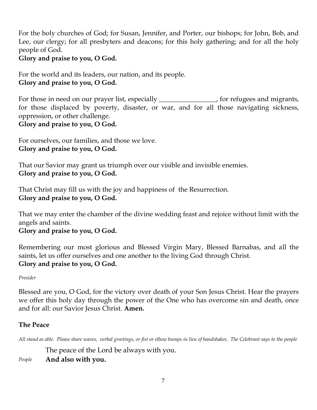For the holy churches of God; for Susan, Jennifer, and Porter, our bishops; for John, Bob, and Lee, our clergy; for all presbyters and deacons; for this holy gathering; and for all the holy people of God.

#### **Glory and praise to you, O God.**

For the world and its leaders, our nation, and its people. **Glory and praise to you, O God.** 

For those in need on our prayer list, especially <u>experimens</u> for refugees and migrants, for those displaced by poverty, disaster, or war, and for all those navigating sickness, oppression, or other challenge. **Glory and praise to you, O God.** 

For ourselves, our families, and those we love. **Glory and praise to you, O God.** 

That our Savior may grant us triumph over our visible and invisible enemies. **Glory and praise to you, O God.** 

That Christ may fill us with the joy and happiness of the Resurrection. **Glory and praise to you, O God.** 

That we may enter the chamber of the divine wedding feast and rejoice without limit with the angels and saints.

**Glory and praise to you, O God.** 

Remembering our most glorious and Blessed Virgin Mary, Blessed Barnabas, and all the saints, let us offer ourselves and one another to the living God through Christ. **Glory and praise to you, O God.** 

*Presider* 

Blessed are you, O God, for the victory over death of your Son Jesus Christ. Hear the prayers we offer this holy day through the power of the One who has overcome sin and death, once and for all: our Savior Jesus Christ. **Amen.**

#### **The Peace**

*All stand as able. Please share waves, verbal greetings, or fist or elbow bumps in lieu of handshakes. The Celebrant says to the people*

The peace of the Lord be always with you.

*People* **And also with you.**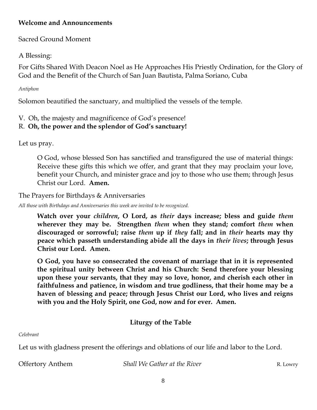## **Welcome and Announcements**

# Sacred Ground Moment

## A Blessing:

For Gifts Shared With Deacon Noel as He Approaches His Priestly Ordination, for the Glory of God and the Benefit of the Church of San Juan Bautista, Palma Soriano, Cuba

#### *Antiphon*

Solomon beautified the sanctuary, and multiplied the vessels of the temple.

## V. Oh, the majesty and magnificence of God's presence!

## R. **Oh, the power and the splendor of God's sanctuary!**

Let us pray.

O God, whose blessed Son has sanctified and transfigured the use of material things: Receive these gifts this which we offer, and grant that they may proclaim your love, benefit your Church, and minister grace and joy to those who use them; through Jesus Christ our Lord. **Amen.**

The Prayers for Birthdays & Anniversaries

*All those with Birthdays and Anniversaries this week are invited to be recognized.*

**Watch over your** *children***, O Lord, as** *their* **days increase; bless and guide** *them* **wherever they may be. Strengthen** *them* **when they stand; comfort** *them* **when discouraged or sorrowful; raise** *them* **up if** *they* **fall; and in** *their* **hearts may thy peace which passeth understanding abide all the days in** *their lives***; through Jesus Christ our Lord. Amen.**

**O God, you have so consecrated the covenant of marriage that in it is represented the spiritual unity between Christ and his Church: Send therefore your blessing upon these your servants, that they may so love, honor, and cherish each other in faithfulness and patience, in wisdom and true godliness, that their home may be a haven of blessing and peace; through Jesus Christ our Lord, who lives and reigns with you and the Holy Spirit, one God, now and for ever. Amen.**

# **Liturgy of the Table**

*Celebrant*

Let us with gladness present the offerings and oblations of our life and labor to the Lord.

Offertory Anthem *Shall We Gather at the River* R. Lowry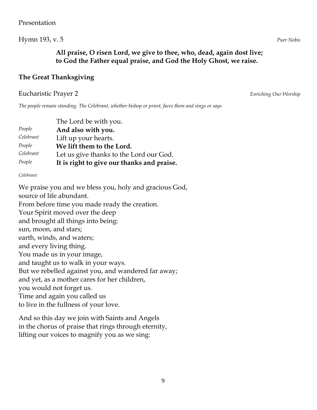## Hymn 193, v. 5 *Puer Nobis*

## **All praise, O risen Lord, we give to thee, who, dead, again dost live; to God the Father equal praise, and God the Holy Ghost, we raise.**

#### **The Great Thanksgiving**

#### Eucharistic Prayer 2 *Enriching Our Worship*

*The people remain standing. The Celebrant, whether bishop or priest, faces them and sings or says*

|           | The Lord be with you.                      |
|-----------|--------------------------------------------|
| People    | And also with you.                         |
| Celebrant | Lift up your hearts.                       |
| People    | We lift them to the Lord.                  |
| Celebrant | Let us give thanks to the Lord our God.    |
| People    | It is right to give our thanks and praise. |

*Celebrant*

We praise you and we bless you, holy and gracious God, source of life abundant. From before time you made ready the creation. Your Spirit moved over the deep and brought all things into being: sun, moon, and stars; earth, winds, and waters; and every living thing. You made us in your image, and taught us to walk in your ways. But we rebelled against you, and wandered far away; and yet, as a mother cares for her children, you would not forget us. Time and again you called us to live in the fullness of your love.

And so this day we join with Saints and Angels in the chorus of praise that rings through eternity, lifting our voices to magnify you as we sing: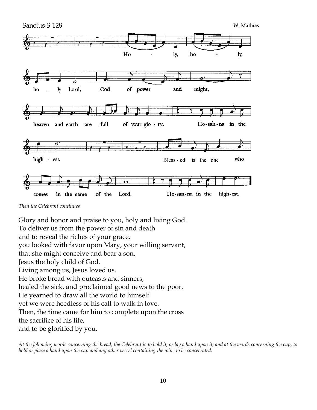

*Then the Celebrant continues*

Glory and honor and praise to you, holy and living God. To deliver us from the power of sin and death and to reveal the riches of your grace, you looked with favor upon Mary, your willing servant, that she might conceive and bear a son, Jesus the holy child of God. Living among us, Jesus loved us. He broke bread with outcasts and sinners, healed the sick, and proclaimed good news to the poor. He yearned to draw all the world to himself yet we were heedless of his call to walk in love. Then, the time came for him to complete upon the cross the sacrifice of his life, and to be glorified by you.

*At the following words concerning the bread, the Celebrant is to hold it, or lay a hand upon it; and at the words concerning the cup, to hold or place a hand upon the cup and any other vessel containing the wine to be consecrated.*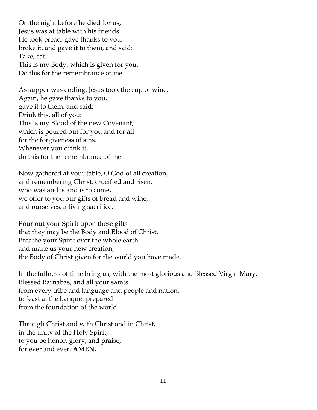On the night before he died for us, Jesus was at table with his friends. He took bread, gave thanks to you, broke it, and gave it to them, and said: Take, eat: This is my Body, which is given for you. Do this for the remembrance of me.

As supper was ending, Jesus took the cup of wine. Again, he gave thanks to you, gave it to them, and said: Drink this, all of you: This is my Blood of the new Covenant, which is poured out for you and for all for the forgiveness of sins. Whenever you drink it, do this for the remembrance of me.

Now gathered at your table, O God of all creation, and remembering Christ, crucified and risen, who was and is and is to come, we offer to you our gifts of bread and wine, and ourselves, a living sacrifice.

Pour out your Spirit upon these gifts that they may be the Body and Blood of Christ. Breathe your Spirit over the whole earth and make us your new creation, the Body of Christ given for the world you have made.

In the fullness of time bring us, with the most glorious and Blessed Virgin Mary, Blessed Barnabas, and all your saints from every tribe and language and people and nation, to feast at the banquet prepared from the foundation of the world.

Through Christ and with Christ and in Christ, in the unity of the Holy Spirit, to you be honor, glory, and praise, for ever and ever. **AMEN.**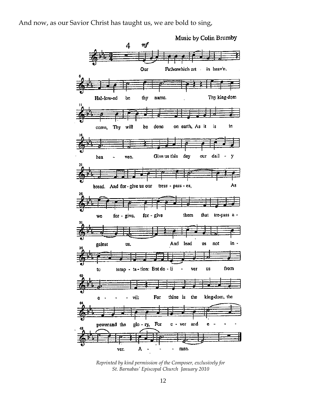And now, as our Savior Christ has taught us, we are bold to sing,



*Reprinted by kind permission of the Composer, exclusively for St. Barnabas' Episcopal Church January 2010*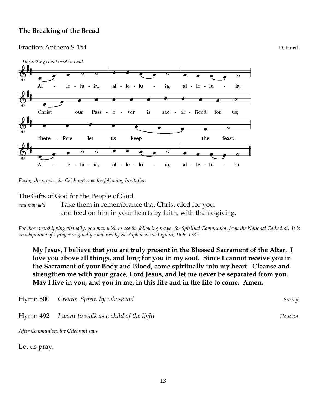#### **The Breaking of the Bread**

#### Fraction Anthem S-154 **D.** Hurd



*Facing the people, the Celebrant says the following Invitation*

#### The Gifts of God for the People of God.

*and may add* Take them in remembrance that Christ died for you, and feed on him in your hearts by faith, with thanksgiving.

*For those worshipping virtually, you may wish to use the following prayer for Spiritual Communion from the National Cathedral. It is an adaptation of a prayer originally composed by St. Alphonsus de Liguori, 1696-1787.* 

**My Jesus, I believe that you are truly present in the Blessed Sacrament of the Altar. I love you above all things, and long for you in my soul. Since I cannot receive you in the Sacrament of your Body and Blood, come spiritually into my heart. Cleanse and strengthen me with your grace, Lord Jesus, and let me never be separated from you. May I live in you, and you in me, in this life and in the life to come. Amen.**

| Hymn 500 Creator Spirit, by whose aid           | Surrey  |
|-------------------------------------------------|---------|
| Hymn 492 I want to walk as a child of the light | Houston |

*After Communion, the Celebrant says*

Let us pray.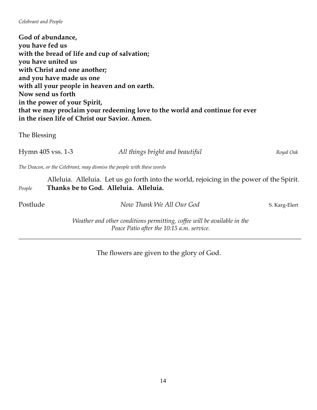#### *Celebrant and People*

**God of abundance, you have fed us with the bread of life and cup of salvation; you have united us with Christ and one another; and you have made us one with all your people in heaven and on earth. Now send us forth in the power of your Spirit, that we may proclaim your redeeming love to the world and continue for ever in the risen life of Christ our Savior. Amen.** 

The Blessing

Hymn 405 vss. 1-3 *All things bright and beautiful Royal Oak The Deacon, or the Celebrant, may dismiss the people with these words* Alleluia. Alleluia. Let us go forth into the world, rejoicing in the power of the Spirit. *People* **Thanks be to God. Alleluia. Alleluia.**

Postlude *Now Thank We All Our God* S. Karg-Elert

*Weather and other conditions permitting, coffee will be available in the Peace Patio after the 10:15 a.m. service.*

\_\_\_\_\_\_\_\_\_\_\_\_\_\_\_\_\_\_\_\_\_\_\_\_\_\_\_\_\_\_\_\_\_\_\_\_\_\_\_\_\_\_\_\_\_\_\_\_\_\_\_\_\_\_\_\_\_\_\_\_\_\_\_\_\_\_\_\_\_\_\_\_\_\_\_\_\_\_\_\_\_\_\_\_

The flowers are given to the glory of God.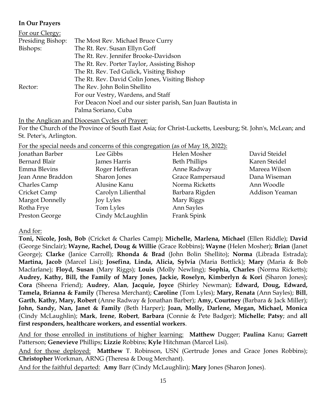#### **In Our Prayers**

| For our Clergy:   |                                                             |  |  |
|-------------------|-------------------------------------------------------------|--|--|
| Presiding Bishop: | The Most Rev. Michael Bruce Curry                           |  |  |
| Bishops:          | The Rt. Rev. Susan Ellyn Goff                               |  |  |
|                   | The Rt. Rev. Jennifer Brooke-Davidson                       |  |  |
|                   | The Rt. Rev. Porter Taylor, Assisting Bishop                |  |  |
|                   | The Rt. Rev. Ted Gulick, Visiting Bishop                    |  |  |
|                   | The Rt. Rev. David Colin Jones, Visiting Bishop             |  |  |
| Rector:           | The Rev. John Bolin Shellito                                |  |  |
|                   | For our Vestry, Wardens, and Staff                          |  |  |
|                   | For Deacon Noel and our sister parish, San Juan Bautista in |  |  |
|                   | Palma Soriano, Cuba                                         |  |  |

In the Anglican and Diocesan Cycles of Prayer:

For the Church of the Province of South East Asia; for Christ-Lucketts, Leesburg; St. John's, McLean; and St. Peter's, Arlington.

For the special needs and concerns of this congregation (as of May 18, 2022):

| Jonathan Barber   | Lee Gibbs          | Helen Mosher         | David Steidel  |
|-------------------|--------------------|----------------------|----------------|
| Bernard Blair     | James Harris       | <b>Beth Phillips</b> | Karen Steidel  |
| Emma Blevins      | Roger Hefferan     | Anne Radway          | Mareea Wilson  |
| Jean Anne Braddon | Sharon Jones       | Grace Rampersaud     | Dana Wiseman   |
| Charles Camp      | Alusine Kanu       | Norma Ricketts       | Ann Woodle     |
| Cricket Camp      | Carolyn Lilienthal | Barbara Rigden       | Addison Yeaman |
| Margot Donnelly   | Joy Lyles          | Mary Riggs           |                |
| Rotha Frye        | Tom Lyles          | Ann Sayles           |                |
| Preston George    | Cindy McLaughlin   | Frank Spink          |                |

#### And for:

**Toni, Nicole, Josh, Bob** (Cricket & Charles Camp); **Michelle, Marlena, Michael** (Ellen Riddle); **David**  (George Sinclair); **Wayne, Rachel, Doug & Willie** (Grace Robbins); **Wayne** (Helen Mosher); **Brian** (Janet George); **Clarke** (Janice Carroll); **Rhonda & Brad** (John Bolin Shellito); **Norma** (Librada Estrada); **Martina, Jacob** (Marcel Lisi); **Josefina**, **Linda, Alicia, Sylvia** (Maria Bottlick); **Mary** (Maria & Bob Macfarlane); **Floyd, Susan** (Mary Riggs); **Louis** (Molly Newling); **Sophia, Charles** (Norma Ricketts); **Audrey, Kathy, Bill, the Family of Mary Jones, Jackie, Roselyn, Kimberlyn & Kori** (Sharon Jones); **Cora** (Sheena Friend); **Audrey**, **Alan**, **Jacquie, Joyce** (Shirley Newman); **Edward, Doug, Edward, Tamela, Brianna & Family** (Theresa Merchant); **Caroline** (Tom Lyles); **Mary, Renata** (Ann Sayles); **Bill**, **Garth**, **Kathy, Mary, Robert** (Anne Radway & Jonathan Barber); **Amy, Courtney** (Barbara & Jack Miller); **John, Sandy, Nan, Janet & Family** (Beth Harper); **Joan, Molly, Darlene, Megan, Michael, Monica**  (Cindy McLaughlin); **Mark**, **Irene**, **Robert**, **Barbara** (Connie & Pete Badger); **Michelle**; **Patsy**; and **all first responders, healthcare workers, and essential workers**.

And for those enrolled in institutions of higher learning: **Matthew** Dugger; **Paulina** Kanu; **Garrett** Patterson; **Genevieve** Phillips; **Lizzie** Robbins; **Kyle** Hitchman (Marcel Lisi).

And for those deployed: **Matthew** T. Robinson, USN (Gertrude Jones and Grace Jones Robbins); **Christopher** Workman, ARNG (Theresa & Doug Merchant).

And for the faithful departed: **Amy** Barr (Cindy McLaughlin); **Mary** Jones (Sharon Jones).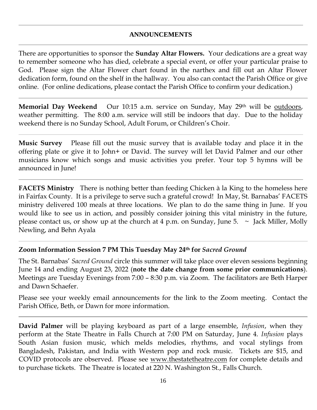#### **ANNOUNCEMENTS**

There are opportunities to sponsor the **Sunday Altar Flowers.** Your dedications are a great way to remember someone who has died, celebrate a special event, or offer your particular praise to God. Please sign the Altar Flower chart found in the narthex and fill out an Altar Flower dedication form, found on the shelf in the hallway. You also can contact the Parish Office or give online. (For online dedications, please contact the Parish Office to confirm your dedication.)

**Memorial Day Weekend** Our 10:15 a.m. service on Sunday, May 29<sup>th</sup> will be outdoors, weather permitting. The 8:00 a.m. service will still be indoors that day. Due to the holiday weekend there is no Sunday School, Adult Forum, or Children's Choir.

**Music Survey** Please fill out the music survey that is available today and place it in the offering plate or give it to John+ or David. The survey will let David Palmer and our other musicians know which songs and music activities you prefer. Your top 5 hymns will be announced in June!

**FACETS Ministry** There is nothing better than feeding Chicken à la King to the homeless here in Fairfax County. It is a privilege to serve such a grateful crowd! In May, St. Barnabas' FACETS ministry delivered 100 meals at three locations. We plan to do the same thing in June. If you would like to see us in action, and possibly consider joining this vital ministry in the future, please contact us, or show up at the church at 4 p.m. on Sunday, June 5.  $\sim$  Jack Miller, Molly Newling, and Behn Ayala

#### **Zoom Information Session 7 PM This Tuesday May 24th for** *Sacred Ground*

The St. Barnabas' *Sacred Ground* circle this summer will take place over eleven sessions beginning June 14 and ending August 23, 2022 (**note the date change from some prior communications**). Meetings are Tuesday Evenings from 7:00 – 8:30 p.m. via Zoom. The facilitators are Beth Harper and Dawn Schaefer.

Please see your weekly email announcements for the link to the Zoom meeting. Contact the Parish Office, Beth, or Dawn for more information.

**David Palmer** will be playing keyboard as part of a large ensemble, *Infusion*, when they perform at the State Theatre in Falls Church at 7:00 PM on Saturday, June 4. *Infusion* plays South Asian fusion music, which melds melodies, rhythms, and vocal stylings from Bangladesh, Pakistan, and India with Western pop and rock music. Tickets are \$15, and COVID protocols are observed. Please see [www.thestatetheatre.com](http://www.thestatetheatre.com/) for complete details and to purchase tickets. The Theatre is located at 220 N. Washington St., Falls Church.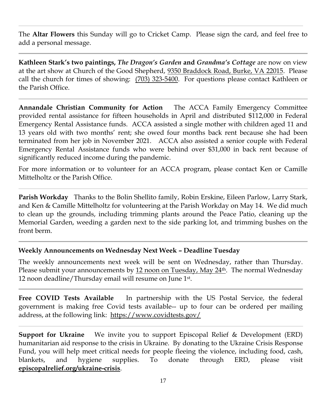The **Altar Flowers** this Sunday will go to Cricket Camp. Please sign the card, and feel free to add a personal message.

**Kathleen Stark's two paintings,** *The Dragon's Garden* **and** *Grandma's Cottage* are now on view at the art show at Church of the Good Shepherd, [9350 Braddock Road, Burke, VA 22015.](https://www.bing.com/local?lid=YN885x15342361&id=YN885x15342361&q=The+Church+of+the+Good+Shepherd&name=The+Church+of+the+Good+Shepherd&cp=38.8145637512207%7e-77.26847076416016&ppois=38.8145637512207_-77.26847076416016_The+Church+of+the+Good+Shepherd) Please call the church for times of showing: [\(703\) 323-5400.](mailto:(703)%20323-5400) For questions please contact Kathleen or the Parish Office.

**Annandale Christian Community for Action** The ACCA Family Emergency Committee provided rental assistance for fifteen households in April and distributed \$112,000 in Federal Emergency Rental Assistance funds. ACCA assisted a single mother with children aged 11 and 13 years old with two months' rent; she owed four months back rent because she had been terminated from her job in November 2021. ACCA also assisted a senior couple with Federal Emergency Rental Assistance funds who were behind over \$31,000 in back rent because of significantly reduced income during the pandemic.

For more information or to volunteer for an ACCA program, please contact Ken or Camille Mittelholtz or the Parish Office.

**Parish Workday** Thanks to the Bolin Shellito family, Robin Erskine, Eileen Parlow, Larry Stark, and Ken & Camille Mittelholtz for volunteering at the Parish Workday on May 14. We did much to clean up the grounds, including trimming plants around the Peace Patio, cleaning up the Memorial Garden, weeding a garden next to the side parking lot, and trimming bushes on the front berm.

#### **Weekly Announcements on Wednesday Next Week – Deadline Tuesday**

The weekly announcements next week will be sent on Wednesday, rather than Thursday. Please submit your announcements by 12 noon on Tuesday, May 24<sup>th</sup>. The normal Wednesday 12 noon deadline/Thursday email will resume on June 1st .

**Free COVID Tests Available** In partnership with the US Postal Service, the federal government is making free Covid tests available-- up to four can be ordered per mailing address, at the following link: <https://www.covidtests.gov/>

**Support for Ukraine** We invite you to support Episcopal Relief & Development (ERD) humanitarian aid response to the crisis in Ukraine. By donating to the Ukraine Crisis Response Fund, you will help meet critical needs for people fleeing the violence, including food, cash, blankets, and hygiene supplies. To donate through ERD, please visit **episcopalrelief.org/ukraine-crisis**.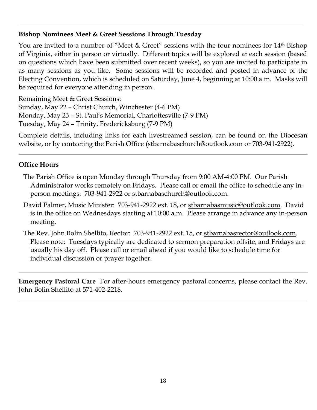# **Bishop Nominees Meet & Greet Sessions Through Tuesday**

You are invited to a number of "Meet & Greet" sessions with the four nominees for 14<sup>th</sup> Bishop of Virginia, either in person or virtually. Different topics will be explored at each session (based on questions which have been submitted over recent weeks), so you are invited to participate in as many sessions as you like. Some sessions will be recorded and posted in advance of the Electing Convention, which is scheduled on Saturday, June 4, beginning at 10:00 a.m. Masks will be required for everyone attending in person.

Remaining Meet & Greet Sessions:

Sunday, May 22 – Christ Church, Winchester (4-6 PM) Monday, May 23 – St. Paul's Memorial, Charlottesville (7-9 PM) Tuesday, May 24 – Trinity, Fredericksburg (7-9 PM)

Complete details, including links for each livestreamed session, can be found on the Diocesan website, or by contacting the Parish Office (stbarnabaschurch@outlook.com or 703-941-2922).

## **Office Hours**

- The Parish Office is open Monday through Thursday from 9:00 AM-4:00 PM. Our Parish Administrator works remotely on Fridays. Please call or email the office to schedule any inperson meetings: 703-941-2922 or [stbarnabaschurch@outlook.com.](mailto:stbarnabaschurch@outlook.com)
- David Palmer, Music Minister: 703-941-2922 ext. 18, or [stbarnabasmusic@outlook.com.](mailto:stbarnabasmusic@outlook.com) David is in the office on Wednesdays starting at 10:00 a.m. Please arrange in advance any in-person meeting.
- The Rev. John Bolin Shellito, Rector: 703-941-2922 ext. 15, or [stbarnabasrector@outlook.com.](mailto:stbarnabasrector@outlook.com) Please note: Tuesdays typically are dedicated to sermon preparation offsite, and Fridays are usually his day off. Please call or email ahead if you would like to schedule time for individual discussion or prayer together.

**Emergency Pastoral Care** For after-hours emergency pastoral concerns, please contact the Rev. John Bolin Shellito at 571-402-2218.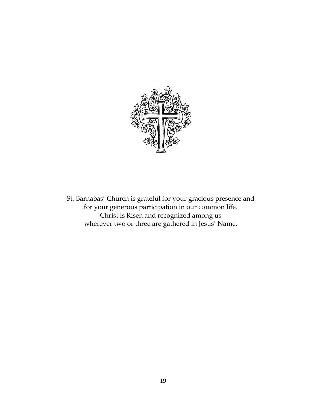

St. Barnabas' Church is grateful for your gracious presence and for your generous participation in our common life. Christ is Risen and recognized among us wherever two or three are gathered in Jesus' Name.